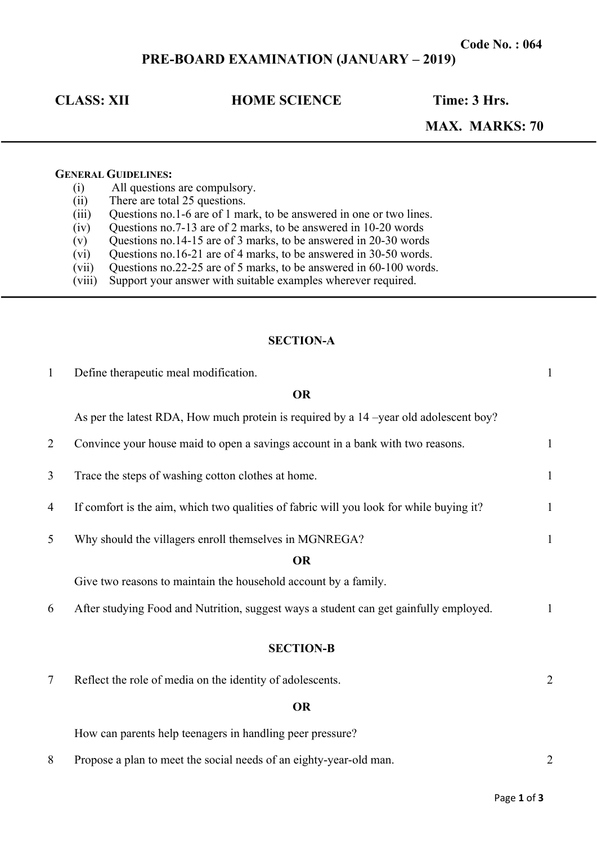# **PRE-BOARD EXAMINATION (JANUARY – 2019)**

## **CLASS: XII HOME SCIENCE Time: 3 Hrs.**

## **MAX. MARKS: 70**

#### **GENERAL GUIDELINES:**

- (i) All questions are compulsory.
- (ii) There are total 25 questions.
- (iii) Questions no.1-6 are of 1 mark, to be answered in one or two lines.
- $(iv)$  Questions no.7-13 are of 2 marks, to be answered in 10-20 words
- $(v)$  Questions no.14-15 are of 3 marks, to be answered in 20-30 words
- (vi) Questions no.16-21 are of 4 marks, to be answered in 30-50 words.
- (vii) Questions no.22-25 are of 5 marks, to be answered in 60-100 words.
- (viii) Support your answer with suitable examples wherever required.

#### **SECTION-A**

| $\mathbf{1}$ | Define therapeutic meal modification.                                                   | $\mathbf{1}$   |
|--------------|-----------------------------------------------------------------------------------------|----------------|
|              | <b>OR</b>                                                                               |                |
|              | As per the latest RDA, How much protein is required by a 14 –year old adolescent boy?   |                |
| 2            | Convince your house maid to open a savings account in a bank with two reasons.          | $\mathbf{1}$   |
| 3            | Trace the steps of washing cotton clothes at home.                                      | $\mathbf{1}$   |
| 4            | If comfort is the aim, which two qualities of fabric will you look for while buying it? | $\mathbf{1}$   |
| 5            | Why should the villagers enroll themselves in MGNREGA?                                  | $\mathbf{1}$   |
|              | <b>OR</b>                                                                               |                |
|              | Give two reasons to maintain the household account by a family.                         |                |
| 6            | After studying Food and Nutrition, suggest ways a student can get gainfully employed.   | $\mathbf{1}$   |
|              | <b>SECTION-B</b>                                                                        |                |
| 7            | Reflect the role of media on the identity of adolescents.                               | $\overline{2}$ |
|              | <b>OR</b>                                                                               |                |
|              | How can parents help teenagers in handling peer pressure?                               |                |

8 Propose a plan to meet the social needs of an eighty-year-old man. 2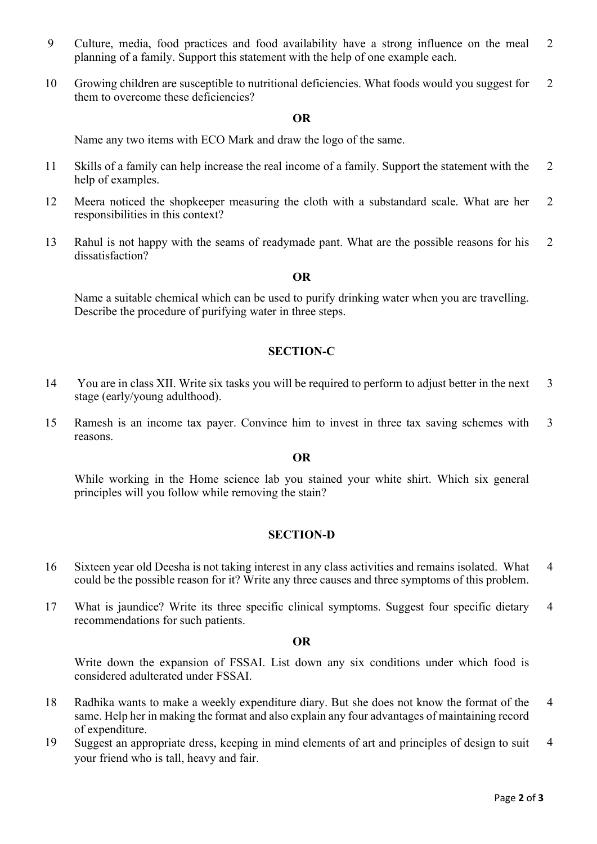- 9 Culture, media, food practices and food availability have a strong influence on the meal planning of a family. Support this statement with the help of one example each. 2
- 10 Growing children are susceptible to nutritional deficiencies. What foods would you suggest for them to overcome these deficiencies? 2

#### **OR**

Name any two items with ECO Mark and draw the logo of the same.

- 11 Skills of a family can help increase the real income of a family. Support the statement with the help of examples. 2
- 12 Meera noticed the shopkeeper measuring the cloth with a substandard scale. What are her responsibilities in this context? 2
- 13 Rahul is not happy with the seams of readymade pant. What are the possible reasons for his dissatisfaction? 2

#### **OR**

Name a suitable chemical which can be used to purify drinking water when you are travelling. Describe the procedure of purifying water in three steps.

#### **SECTION-C**

- 14 You are in class XII. Write six tasks you will be required to perform to adjust better in the next stage (early/young adulthood). 3
- 15 Ramesh is an income tax payer. Convince him to invest in three tax saving schemes with reasons. 3

#### **OR**

While working in the Home science lab you stained your white shirt. Which six general principles will you follow while removing the stain?

### **SECTION-D**

- 16 Sixteen year old Deesha is not taking interest in any class activities and remains isolated. What could be the possible reason for it? Write any three causes and three symptoms of this problem. 4
- 17 What is jaundice? Write its three specific clinical symptoms. Suggest four specific dietary recommendations for such patients. 4

#### **OR**

Write down the expansion of FSSAI. List down any six conditions under which food is considered adulterated under FSSAI.

- 18 Radhika wants to make a weekly expenditure diary. But she does not know the format of the same. Help her in making the format and also explain any four advantages of maintaining record of expenditure. 4
- 19 Suggest an appropriate dress, keeping in mind elements of art and principles of design to suit your friend who is tall, heavy and fair. 4